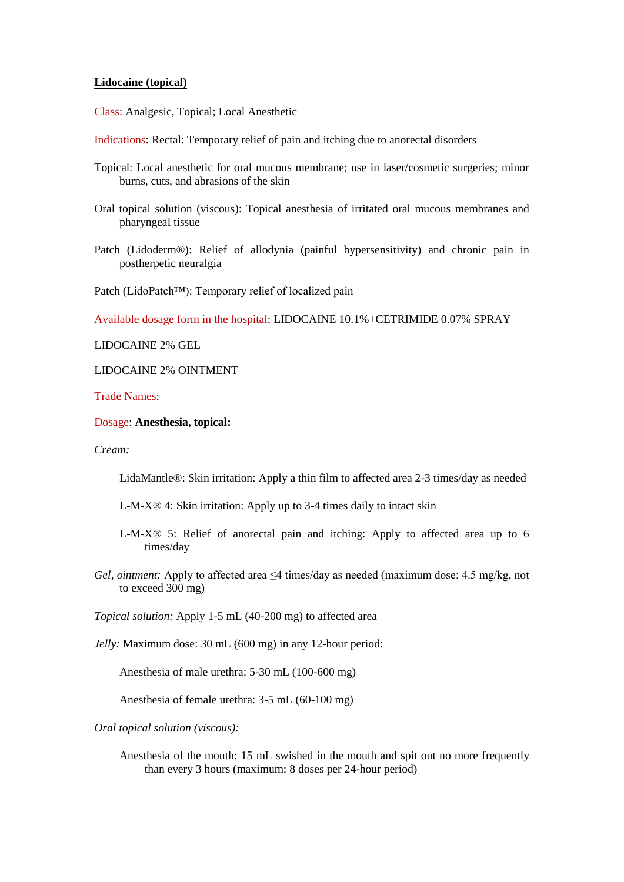## **Lidocaine (topical)**

Class: Analgesic, Topical; Local Anesthetic

- Indications: Rectal: Temporary relief of pain and itching due to anorectal disorders
- Topical: Local anesthetic for oral mucous membrane; use in laser/cosmetic surgeries; minor burns, cuts, and abrasions of the skin
- Oral topical solution (viscous): Topical anesthesia of irritated oral mucous membranes and pharyngeal tissue
- Patch (Lidoderm®): Relief of allodynia (painful hypersensitivity) and chronic pain in postherpetic neuralgia

Patch (LidoPatch™): Temporary relief of localized pain

Available dosage form in the hospital: LIDOCAINE 10.1%+CETRIMIDE 0.07% SPRAY

LIDOCAINE 2% GEL

LIDOCAINE 2% OINTMENT

Trade Names:

## Dosage: **Anesthesia, topical:**

*Cream:*

LidaMantle®: Skin irritation: Apply a thin film to affected area 2-3 times/day as needed

- L-M-X® 4: Skin irritation: Apply up to 3-4 times daily to intact skin
- L-M-X® 5: Relief of anorectal pain and itching: Apply to affected area up to 6 times/day
- *Gel, ointment:* Apply to affected area ≤4 times/day as needed (maximum dose: 4.5 mg/kg, not to exceed 300 mg)

*Topical solution:* Apply 1-5 mL (40-200 mg) to affected area

*Jelly:* Maximum dose: 30 mL (600 mg) in any 12-hour period:

Anesthesia of male urethra: 5-30 mL (100-600 mg)

Anesthesia of female urethra: 3-5 mL (60-100 mg)

*Oral topical solution (viscous):*

Anesthesia of the mouth: 15 mL swished in the mouth and spit out no more frequently than every 3 hours (maximum: 8 doses per 24-hour period)